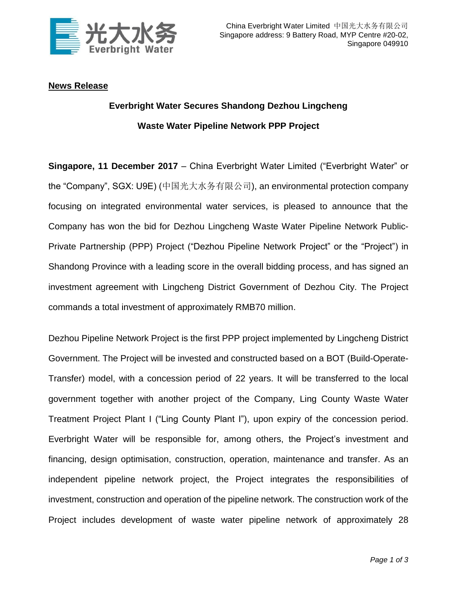

## **News Release**

## **Everbright Water Secures Shandong Dezhou Lingcheng Waste Water Pipeline Network PPP Project**

**Singapore, 11 December 2017** – China Everbright Water Limited ("Everbright Water" or the "Company", SGX: U9E) (中国光大水务有限公司), an environmental protection company focusing on integrated environmental water services, is pleased to announce that the Company has won the bid for Dezhou Lingcheng Waste Water Pipeline Network Public-Private Partnership (PPP) Project ("Dezhou Pipeline Network Project" or the "Project") in Shandong Province with a leading score in the overall bidding process, and has signed an investment agreement with Lingcheng District Government of Dezhou City. The Project commands a total investment of approximately RMB70 million.

Dezhou Pipeline Network Project is the first PPP project implemented by Lingcheng District Government. The Project will be invested and constructed based on a BOT (Build-Operate-Transfer) model, with a concession period of 22 years. It will be transferred to the local government together with another project of the Company, Ling County Waste Water Treatment Project Plant I ("Ling County Plant I"), upon expiry of the concession period. Everbright Water will be responsible for, among others, the Project's investment and financing, design optimisation, construction, operation, maintenance and transfer. As an independent pipeline network project, the Project integrates the responsibilities of investment, construction and operation of the pipeline network. The construction work of the Project includes development of waste water pipeline network of approximately 28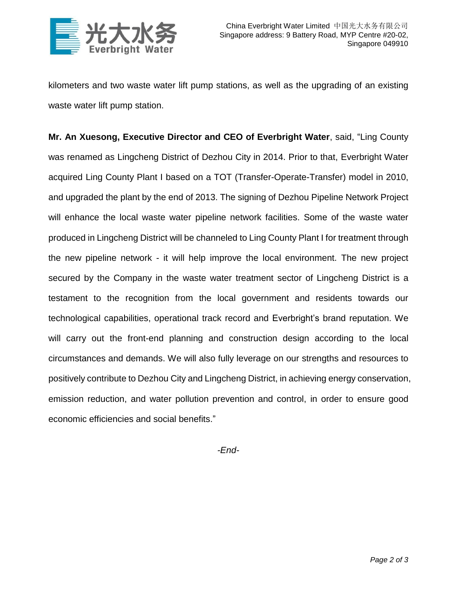

kilometers and two waste water lift pump stations, as well as the upgrading of an existing waste water lift pump station.

**Mr. An Xuesong, Executive Director and CEO of Everbright Water**, said, "Ling County was renamed as Lingcheng District of Dezhou City in 2014. Prior to that, Everbright Water acquired Ling County Plant I based on a TOT (Transfer-Operate-Transfer) model in 2010, and upgraded the plant by the end of 2013. The signing of Dezhou Pipeline Network Project will enhance the local waste water pipeline network facilities. Some of the waste water produced in Lingcheng District will be channeled to Ling County Plant I for treatment through the new pipeline network - it will help improve the local environment. The new project secured by the Company in the waste water treatment sector of Lingcheng District is a testament to the recognition from the local government and residents towards our technological capabilities, operational track record and Everbright's brand reputation. We will carry out the front-end planning and construction design according to the local circumstances and demands. We will also fully leverage on our strengths and resources to positively contribute to Dezhou City and Lingcheng District, in achieving energy conservation, emission reduction, and water pollution prevention and control, in order to ensure good economic efficiencies and social benefits."

*-End-*